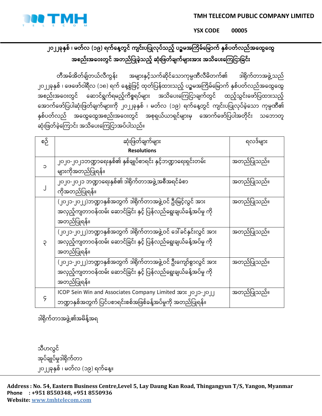**TMH TELECOM PUBLIC COMPANY LIMITED**



**YSX CODE 00005**

## ၂၀၂၂ခုနှစ် ၊ မတ်လ (၁၉) ရက်နေ့တွင် ကျင်းပပြုလုပ်သည့် ပဉ္စမအကြိမ်မြောက် နှစ်ပတ်လည်အထွေထွေ အစည်းအဝေးတွင် အတည်ပြုခဲ့သည့် ဆုံးဖြတ်ချက်များအား အသိပေးကြေငြာခြင်း

တီအမ်အိတ်ချ်တယ်လီကွန်း အများနှင့်သက်ဆိုင်သောကုမ္ပဏီလီမိတက်၏ ဒါရိုက်တာအဖွဲ့့သည် ၂၀၂၂ခုနှစ် ၊ ဖေဖော်ဝါရီလ (၁၈) ရက် နေ့စွဲဖြင့် ထုတ်ပြန်ထားသည့် ပဉ္စမအကြိမ်မြောက် နှစ်ပတ်လည်အထွေထွေ အစည်းအဝေးတွင် ဆောင်ရွက်ရမည့်ကိစ္စရပ်များ အသိပေးကြေငြာချက်တွင် ထည့်သွင်းဖော်ပြထားသည့် အောက်ဖော်ပြပါဆုံးဖြတ်ချက်များကို ၂၀၂၂ခုနှစ် ၊ မတ်လ (၁၉) ရက်နေ့တွင် ကျင်းပပြုလုပ်ခဲ့သော ကုမ္ပဏီ၏ နှစ်ပတ်လည် အထွေထွေအစည်းအဝေးတွင် အစုရယ်ယာရှင်များမှ အောက်ဖော်ပြပါအတိုင်း သဘောတူ ဆုံးဖြတ်ခဲ့ကြောင်း အသိပေးကြေငြာအပ်ပါသည်။

| စဉ် | ဆုံးဖြတ်ချက်များ                                                  | ရလဒ်များ    |
|-----|-------------------------------------------------------------------|-------------|
|     | <b>Resolutions</b>                                                |             |
| С   | ၂၀၂၀-၂၀၂၁ဘဏ္ဍာရေးနှစ်၏ နှစ်ချုပ်စာရင်း နှင့်ဘဏ္ဍာရေးရှင်းတမ်း     | အတည်ပြုသည်။ |
|     | များကိုအတည်ပြုရန်။                                                |             |
|     | ၂၀၂၀-၂၀၂၁ ဘဏ္ဍာရေးနှစ်၏ ဒါရိုက်တာအဖွဲ့အစီအရင်ခံစာ                 | အတည်ပြုသည်။ |
|     | ကိုအတည်ပြုရန်။                                                    |             |
| Ç   | (၂၀၂၁-၂၀၂၂)ဘဏ္ဍာနှစ်အတွက် ဒါရိုက်တာအဖွဲ့ ဝင် ဦးမြင့်လွင် အား      | အတည်ပြုသည်။ |
|     | အလှည့်ကျတာဝန်ထမ်း ဆောင်ခြင်း နှင့် ပြန်လည်ရွေးချယ်ခန့်အပ်မှု ကို  |             |
|     | အတည်ပြုရန်။                                                       |             |
|     | (၂၀၂၁-၂၀၂၂)ဘဏ္ဍာနှစ်အတွက် ဒါရိုက်တာအဖွဲ့ ဝင် ဒေါ်ခင်နှင်းလွင် အား | အတည်ပြုသည်။ |
|     | အလှည့်ကျတာဝန်ထမ်း ဆောင်ခြင်း နှင့် ပြန်လည်ရွေးချယ်ခန့်အပ်မှု ကို  |             |
|     | အတည်ပြုရန်။                                                       |             |
|     | (၂၀၂၁-၂၀၂၂)ဘဏ္ဍာနှစ်အတွက် ဒါရိုက်တာအဖွဲ့ ဝင် ဦးကျော်စွာလွင် အား   | အတည်ပြုသည်။ |
|     | အလှည့်ကျတာဝန်ထမ်း ဆောင်ခြင်း နှင့် ပြန်လည်ရွေးချယ်ခန့်အပ်မှု ကို  |             |
|     | အတည်ပြုရန်။                                                       |             |
|     | ICOP Sein Win and Associates Company Limited အား ၂၀၂၁-၂၀၂၂        | အတည်ပြုသည်။ |
|     | ဘဏ္ဍာနှစ်အတွက် ပြင်ပစာရင်းစစ်အဖြစ်ခန့်အပ်မှုကို အတည်ပြုရန်။       |             |

ဒါရိုက်တာအဖွဲ့ ၏အမိန့်အရ

သီဟလွင် အုပ်ချုပ်မှုဒါရိုက်တာ ၂၀၂၂ခုနှစ် ၊ မတ်လ (၁၉) ရက်နေ့။